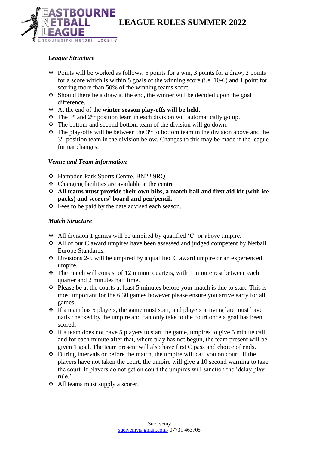

### *League Structure*

- $\triangle$  Points will be worked as follows: 5 points for a win, 3 points for a draw, 2 points for a score which is within 5 goals of the winning score (i.e. 10-6) and 1 point for scoring more than 50% of the winning teams score
- Should there be a draw at the end, the winner will be decided upon the goal difference.
- At the end of the **winter season play-offs will be held.**
- $\hat{\mathbf{v}}$  The 1<sup>st</sup> and 2<sup>nd</sup> position team in each division will automatically go up.
- $\triangle$  The bottom and second bottom team of the division will go down.
- $\cdot \cdot$  The play-offs will be between the 3<sup>rd</sup> to bottom team in the division above and the  $3<sup>rd</sup>$  position team in the division below. Changes to this may be made if the league format changes.

### *Venue and Team information*

- Hampden Park Sports Centre. BN22 9RQ
- Changing facilities are available at the centre
- **All teams must provide their own bibs, a match ball and first aid kit (with ice packs) and scorers' board and pen/pencil.**
- $\div$  Fees to be paid by the date advised each season.

### *Match Structure*

- $\triangle$  All division 1 games will be umpired by qualified 'C' or above umpire.
- All of our C award umpires have been assessed and judged competent by Netball Europe Standards.
- $\bullet$  Divisions 2-5 will be umpired by a qualified C award umpire or an experienced umpire.
- $\triangle$  The match will consist of 12 minute quarters, with 1 minute rest between each quarter and 2 minutes half time.
- $\triangle$  Please be at the courts at least 5 minutes before your match is due to start. This is most important for the 6.30 games however please ensure you arrive early for all games.
- $\cdot \cdot$  If a team has 5 players, the game must start, and players arriving late must have nails checked by the umpire and can only take to the court once a goal has been scored.
- $\cdot$  If a team does not have 5 players to start the game, umpires to give 5 minute call and for each minute after that, where play has not begun, the team present will be given 1 goal. The team present will also have first C pass and choice of ends.
- $\triangle$  During intervals or before the match, the umpire will call you on court. If the players have not taken the court, the umpire will give a 10 second warning to take the court. If players do not get on court the umpires will sanction the 'delay play rule.'
- All teams must supply a scorer.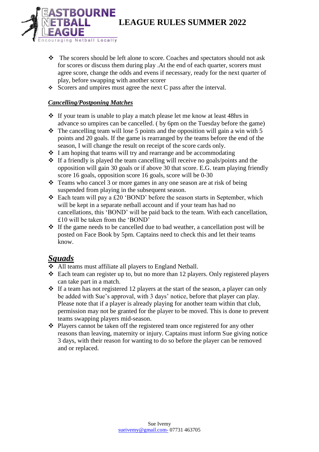- \* The scorers should be left alone to score. Coaches and spectators should not ask for scores or discuss them during play .At the end of each quarter, scorers must agree score, change the odds and evens if necessary, ready for the next quarter of play, before swapping with another scorer
- $\div$  Scorers and umpires must agree the next C pass after the interval.

## *Cancelling/Postponing Matches*

**BOURNE** 

ng Netball Locally

- $\cdot \cdot$  If your team is unable to play a match please let me know at least 48hrs in advance so umpires can be cancelled. ( by 6pm on the Tuesday before the game)
- $\cdot \cdot$  The cancelling team will lose 5 points and the opposition will gain a win with 5 points and 20 goals. If the game is rearranged by the teams before the end of the season, I will change the result on receipt of the score cards only.
- $\cdot$  I am hoping that teams will try and rearrange and be accommodating
- $\cdot$  If a friendly is played the team cancelling will receive no goals/points and the opposition will gain 30 goals or if above 30 that score. E.G. team playing friendly score 16 goals, opposition score 16 goals, score will be 0-30
- Teams who cancel 3 or more games in any one season are at risk of being suspended from playing in the subsequent season.
- $\triangle$  Each team will pay a £20 'BOND' before the season starts in September, which will be kept in a separate netball account and if your team has had no cancellations, this 'BOND' will be paid back to the team. With each cancellation, £10 will be taken from the 'BOND'
- $\cdot \cdot$  If the game needs to be cancelled due to bad weather, a cancellation post will be posted on Face Book by 5pm. Captains need to check this and let their teams know.

# *Squads*

- All teams must affiliate all players to England Netball.
- $\triangle$  Each team can register up to, but no more than 12 players. Only registered players can take part in a match.
- $\cdot \cdot$  If a team has not registered 12 players at the start of the season, a player can only be added with Sue's approval, with 3 days' notice, before that player can play. Please note that if a player is already playing for another team within that club, permission may not be granted for the player to be moved. This is done to prevent teams swapping players mid-season.
- Players cannot be taken off the registered team once registered for any other reasons than leaving, maternity or injury. Captains must inform Sue giving notice 3 days, with their reason for wanting to do so before the player can be removed and or replaced.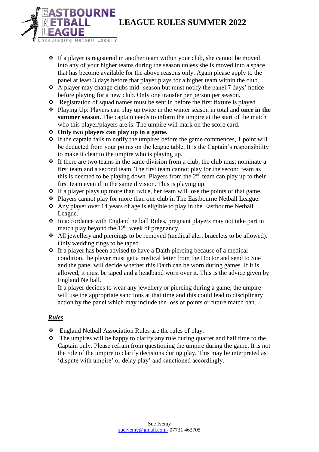

- $\cdot \cdot$  If a player is registered in another team within your club, she cannot be moved into any of your higher teams during the season unless she is moved into a space that has become available for the above reasons only. Again please apply to the panel at least 3 days before that player plays for a higher team within the club.
- A player may change clubs mid- season but must notify the panel 7 days' notice before playing for a new club. Only one transfer per person per season.
- \* Registration of squad names must be sent in before the first fixture is played. .
- Playing Up: Players can play up twice in the winter season in total and **once in the summer season**. The captain needs to inform the umpire at the start of the match who this player/players are. is. The umpire will mark on the score card.
- **Only two players can play up in a game.**
- $\cdot \cdot$  If the captain fails to notify the umpires before the game commences, 1 point will be deducted from your points on the league table. It is the Captain's responsibility to make it clear to the umpire who is playing up.
- $\cdot \cdot$  If there are two teams in the same division from a club, the club must nominate a first team and a second team. The first team cannot play for the second team as this is deemed to be playing down. Players from the  $2<sup>nd</sup>$  team can play up to their first team even if in the same division. This is playing up.
- $\cdot$  If a player plays up more than twice, her team will lose the points of that game.
- Players cannot play for more than one club in The Eastbourne Netball League.
- Any player over 14 years of age is eligible to play in the Eastbourne Netball League.
- $\cdot \cdot$  In accordance with England netball Rules, pregnant players may not take part in match play beyond the  $12<sup>th</sup>$  week of pregnancy.
- All jewellery and piercings to be removed (medical alert bracelets to be allowed). Only wedding rings to be taped.
- $\cdot \cdot$  If a player has been advised to have a Daith piercing because of a medical condition, the player must get a medical letter from the Doctor and send to Sue and the panel will decide whether this Daith can be worn during games. If it is allowed, it must be taped and a headband worn over it. This is the advice given by England Netball.

If a player decides to wear any jewellery or piercing during a game, the umpire will use the appropriate sanctions at that time and this could lead to disciplinary action by the panel which may include the loss of points or future match ban.

## *Rules*

- England Netball Association Rules are the rules of play.
- $\triangle$  The umpires will be happy to clarify any rule during quarter and half time to the Captain only. Please refrain from questioning the umpire during the game. It is not the role of the umpire to clarify decisions during play. This may be interpreted as 'dispute with umpire' or delay play' and sanctioned accordingly.